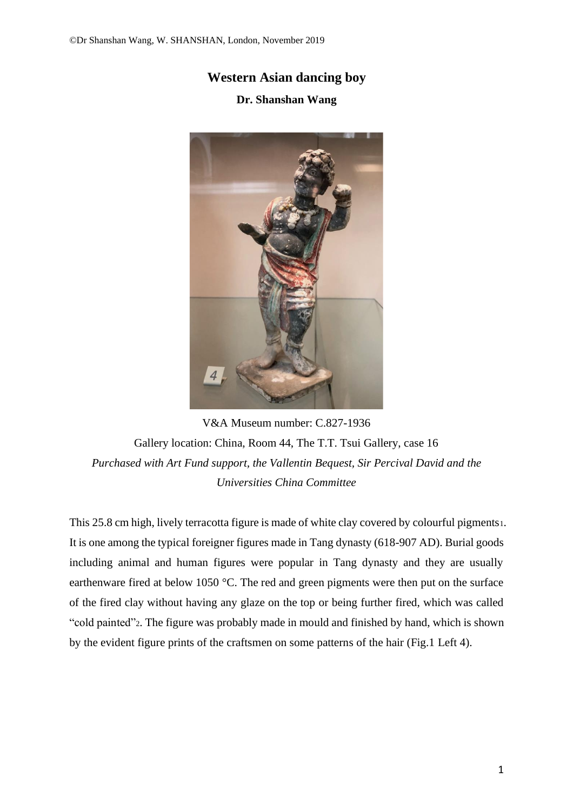## **Western Asian dancing boy**

## **Dr. Shanshan Wang**



V&A Museum number: C.827-1936 Gallery location: China, Room 44, The T.T. Tsui Gallery, case 16 *Purchased with Art Fund support, the Vallentin Bequest, Sir Percival David and the Universities China Committee*

This 25.8 cm high, lively terracotta figure is made of white clay covered by colourful pigments1. It is one among the typical foreigner figures made in Tang dynasty (618-907 AD). Burial goods including animal and human figures were popular in Tang dynasty and they are usually earthenware fired at below 1050 °C. The red and green pigments were then put on the surface of the fired clay without having any glaze on the top or being further fired, which was called "cold painted"2. The figure was probably made in mould and finished by hand, which is shown by the evident figure prints of the craftsmen on some patterns of the hair (Fig.1 Left 4).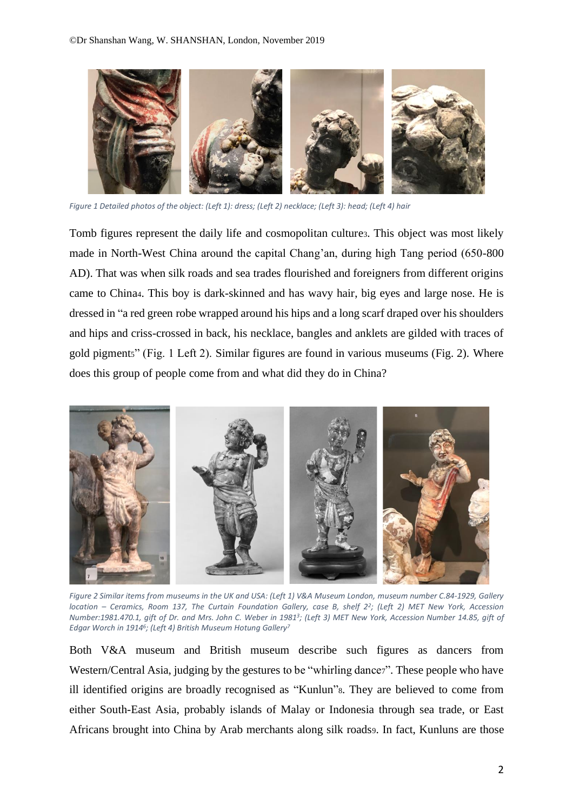

*Figure 1 Detailed photos of the object: (Left 1): dress; (Left 2) necklace; (Left 3): head; (Left 4) hair*

Tomb figures represent the daily life and cosmopolitan culture3. This object was most likely made in North-West China around the capital Chang'an, during high Tang period (650-800 AD). That was when silk roads and sea trades flourished and foreigners from different origins came to China4. This boy is dark-skinned and has wavy hair, big eyes and large nose. He is dressed in "a red green robe wrapped around his hips and a long scarf draped over his shoulders and hips and criss-crossed in back, his necklace, bangles and anklets are gilded with traces of gold pigment5" (Fig. 1 Left 2). Similar figures are found in various museums (Fig. 2). Where does this group of people come from and what did they do in China?



*Figure 2 Similar items from museums in the UK and USA: (Left 1) V&A Museum London, museum number C.84-1929, Gallery location – Ceramics, Room 137, The Curtain Foundation Gallery, case B, shelf 2<sup>2</sup> ; (Left 2) MET New York, Accession Number:1981.470.1, gift of Dr. and Mrs. John C. Weber in 1981<sup>3</sup> ; (Left 3) MET New York, Accession Number 14.85, gift of Edgar Worch in 1914<sup>6</sup> ; (Left 4) British Museum Hotung Gallery<sup>7</sup>*

Both V&A museum and British museum describe such figures as dancers from Western/Central Asia, judging by the gestures to be "whirling dancer". These people who have ill identified origins are broadly recognised as "Kunlun"8. They are believed to come from either South-East Asia, probably islands of Malay or Indonesia through sea trade, or East Africans brought into China by Arab merchants along silk roads9. In fact, Kunluns are those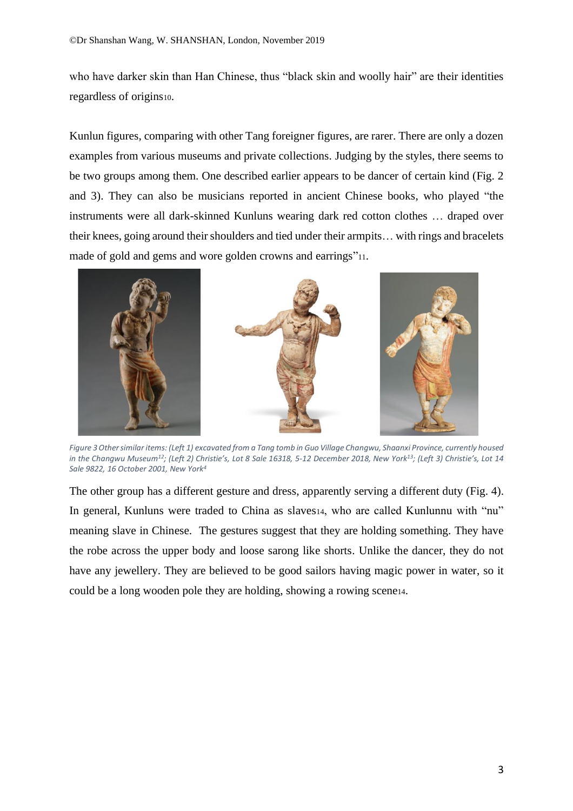who have darker skin than Han Chinese, thus "black skin and woolly hair" are their identities regardless of origins10.

Kunlun figures, comparing with other Tang foreigner figures, are rarer. There are only a dozen examples from various museums and private collections. Judging by the styles, there seems to be two groups among them. One described earlier appears to be dancer of certain kind (Fig. 2 and 3). They can also be musicians reported in ancient Chinese books, who played "the instruments were all dark-skinned Kunluns wearing dark red cotton clothes … draped over their knees, going around their shoulders and tied under their armpits… with rings and bracelets made of gold and gems and wore golden crowns and earrings"11.



*Figure 3Other similar items: (Left 1) excavated from a Tang tomb in Guo Village Changwu, Shaanxi Province, currently housed in the Changwu Museum<sup>12</sup> ; (Left 2) Christie's, Lot 8 Sale 16318, 5-12 December 2018, New York<sup>13</sup>; (Left 3) Christie's, Lot 14 Sale 9822, 16 October 2001, New York<sup>4</sup>*

The other group has a different gesture and dress, apparently serving a different duty (Fig. 4). In general, Kunluns were traded to China as slaves14, who are called Kunlunnu with "nu" meaning slave in Chinese. The gestures suggest that they are holding something. They have the robe across the upper body and loose sarong like shorts. Unlike the dancer, they do not have any jewellery. They are believed to be good sailors having magic power in water, so it could be a long wooden pole they are holding, showing a rowing scene14.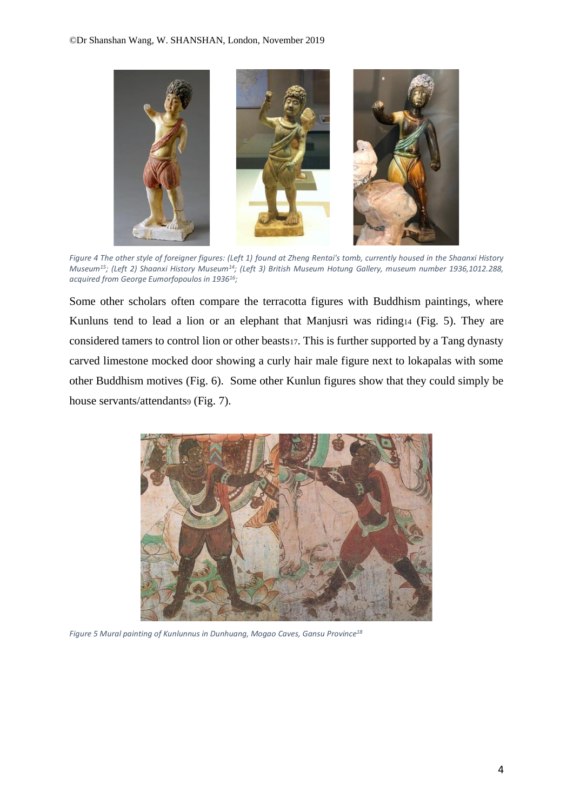

*Figure 4 The other style of foreigner figures: (Left 1) found at Zheng Rentai's tomb, currently housed in the Shaanxi History Museum<sup>15</sup> ; (Left 2) Shaanxi History Museum<sup>14</sup>; (Left 3) British Museum Hotung Gallery, museum number 1936,1012.288, acquired from George Eumorfopoulos in 1936<sup>16</sup> ;* 

Some other scholars often compare the terracotta figures with Buddhism paintings, where Kunluns tend to lead a lion or an elephant that Manjusri was riding14 (Fig. 5). They are considered tamers to control lion or other beasts17. This is further supported by a Tang dynasty carved limestone mocked door showing a curly hair male figure next to lokapalas with some other Buddhism motives (Fig. 6). Some other Kunlun figures show that they could simply be house servants/attendants9 (Fig. 7).



*Figure 5 Mural painting of Kunlunnus in Dunhuang, Mogao Caves, Gansu Province<sup>18</sup>*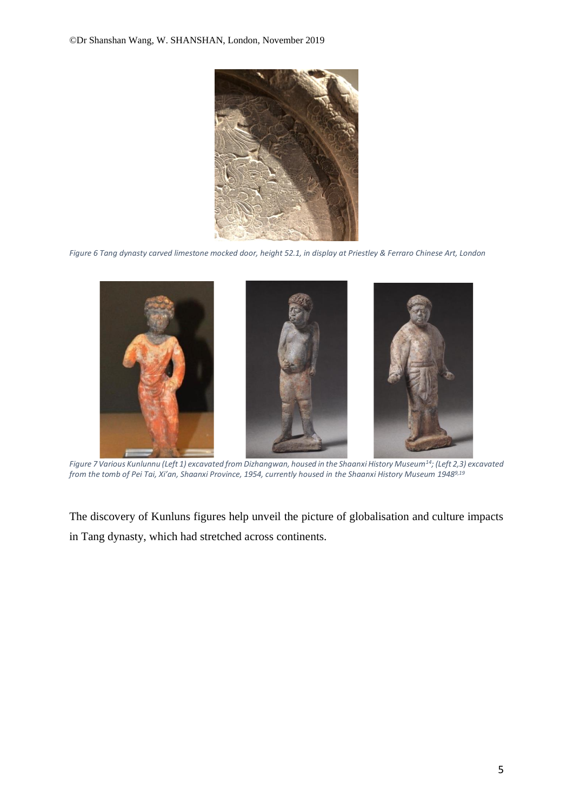

*Figure 6 Tang dynasty carved limestone mocked door, height 52.1, in display at Priestley & Ferraro Chinese Art, London*



*Figure 7 Various Kunlunnu (Left 1) excavated from Dizhangwan, housed in the Shaanxi History Museum<sup>14</sup>; (Left 2,3) excavated from the tomb of Pei Tai, Xi'an, Shaanxi Province, 1954, currently housed in the Shaanxi History Museum 19489,19*

The discovery of Kunluns figures help unveil the picture of globalisation and culture impacts in Tang dynasty, which had stretched across continents.